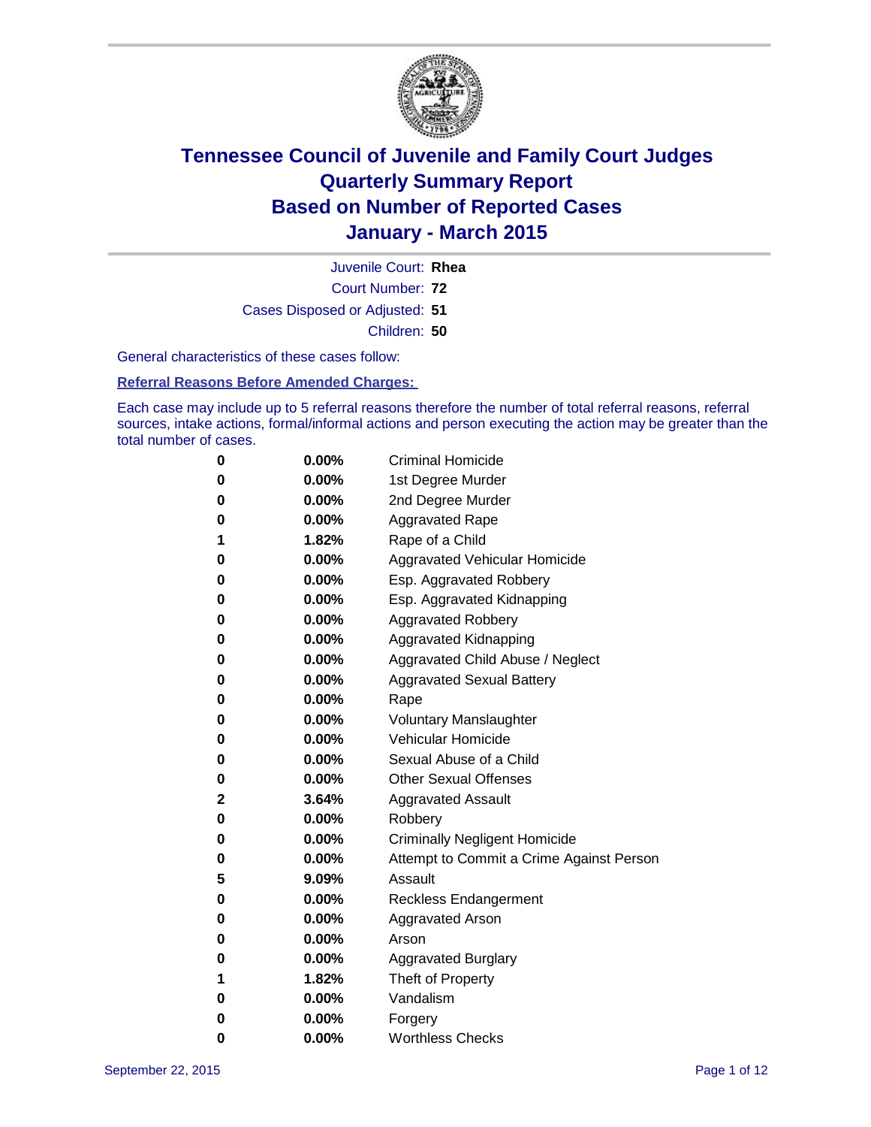

Court Number: **72** Juvenile Court: **Rhea** Cases Disposed or Adjusted: **51** Children: **50**

General characteristics of these cases follow:

**Referral Reasons Before Amended Charges:** 

Each case may include up to 5 referral reasons therefore the number of total referral reasons, referral sources, intake actions, formal/informal actions and person executing the action may be greater than the total number of cases.

| 0        | $0.00\%$ | <b>Criminal Homicide</b>                 |
|----------|----------|------------------------------------------|
| 0        | $0.00\%$ | 1st Degree Murder                        |
| $\bf{0}$ | $0.00\%$ | 2nd Degree Murder                        |
| 0        | $0.00\%$ | <b>Aggravated Rape</b>                   |
| 1        | 1.82%    | Rape of a Child                          |
| 0        | 0.00%    | Aggravated Vehicular Homicide            |
| $\bf{0}$ | $0.00\%$ | Esp. Aggravated Robbery                  |
| 0        | $0.00\%$ | Esp. Aggravated Kidnapping               |
| $\bf{0}$ | $0.00\%$ | <b>Aggravated Robbery</b>                |
| $\bf{0}$ | $0.00\%$ | <b>Aggravated Kidnapping</b>             |
| 0        | 0.00%    | Aggravated Child Abuse / Neglect         |
| 0        | $0.00\%$ | <b>Aggravated Sexual Battery</b>         |
| $\bf{0}$ | $0.00\%$ | Rape                                     |
| 0        | $0.00\%$ | <b>Voluntary Manslaughter</b>            |
| 0        | $0.00\%$ | <b>Vehicular Homicide</b>                |
| $\bf{0}$ | $0.00\%$ | Sexual Abuse of a Child                  |
| $\bf{0}$ | $0.00\%$ | <b>Other Sexual Offenses</b>             |
| 2        | 3.64%    | <b>Aggravated Assault</b>                |
| $\bf{0}$ | $0.00\%$ | Robbery                                  |
| $\bf{0}$ | $0.00\%$ | <b>Criminally Negligent Homicide</b>     |
| 0        | $0.00\%$ | Attempt to Commit a Crime Against Person |
| 5        | 9.09%    | Assault                                  |
| $\bf{0}$ | 0.00%    | <b>Reckless Endangerment</b>             |
| 0        | $0.00\%$ | <b>Aggravated Arson</b>                  |
| 0        | $0.00\%$ | Arson                                    |
| $\bf{0}$ | $0.00\%$ | <b>Aggravated Burglary</b>               |
| 1        | 1.82%    | Theft of Property                        |
| 0        | $0.00\%$ | Vandalism                                |
| 0        | $0.00\%$ | Forgery                                  |
| 0        | $0.00\%$ | <b>Worthless Checks</b>                  |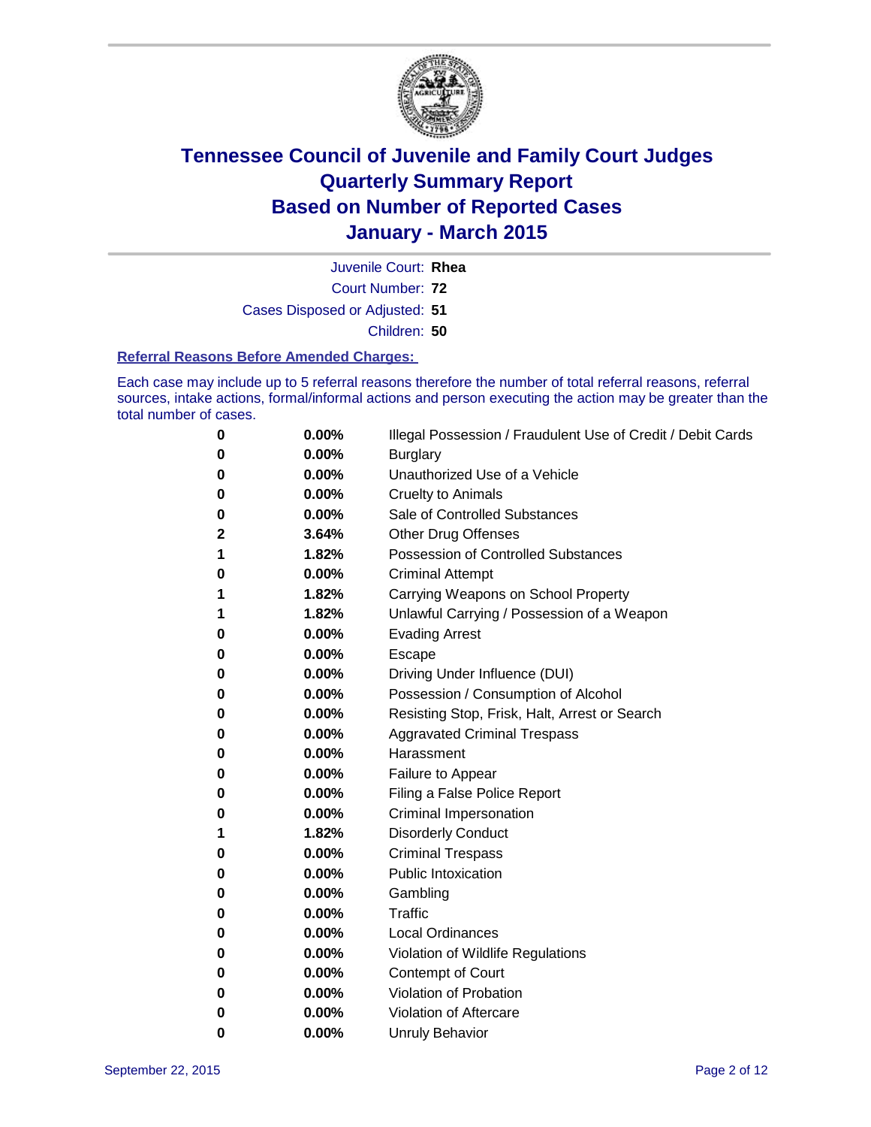

Court Number: **72** Juvenile Court: **Rhea** Cases Disposed or Adjusted: **51** Children: **50**

#### **Referral Reasons Before Amended Charges:**

Each case may include up to 5 referral reasons therefore the number of total referral reasons, referral sources, intake actions, formal/informal actions and person executing the action may be greater than the total number of cases.

| 0 | 0.00% | Illegal Possession / Fraudulent Use of Credit / Debit Cards |
|---|-------|-------------------------------------------------------------|
| 0 | 0.00% | <b>Burglary</b>                                             |
| 0 | 0.00% | Unauthorized Use of a Vehicle                               |
| 0 | 0.00% | <b>Cruelty to Animals</b>                                   |
| 0 | 0.00% | Sale of Controlled Substances                               |
| 2 | 3.64% | <b>Other Drug Offenses</b>                                  |
| 1 | 1.82% | <b>Possession of Controlled Substances</b>                  |
| 0 | 0.00% | <b>Criminal Attempt</b>                                     |
| 1 | 1.82% | Carrying Weapons on School Property                         |
| 1 | 1.82% | Unlawful Carrying / Possession of a Weapon                  |
| 0 | 0.00% | <b>Evading Arrest</b>                                       |
| 0 | 0.00% | Escape                                                      |
| 0 | 0.00% | Driving Under Influence (DUI)                               |
| 0 | 0.00% | Possession / Consumption of Alcohol                         |
| 0 | 0.00% | Resisting Stop, Frisk, Halt, Arrest or Search               |
| 0 | 0.00% | <b>Aggravated Criminal Trespass</b>                         |
| 0 | 0.00% | Harassment                                                  |
| 0 | 0.00% | Failure to Appear                                           |
| 0 | 0.00% | Filing a False Police Report                                |
| 0 | 0.00% | Criminal Impersonation                                      |
| 1 | 1.82% | <b>Disorderly Conduct</b>                                   |
| 0 | 0.00% | <b>Criminal Trespass</b>                                    |
| 0 | 0.00% | <b>Public Intoxication</b>                                  |
| 0 | 0.00% | Gambling                                                    |
| 0 | 0.00% | <b>Traffic</b>                                              |
| 0 | 0.00% | <b>Local Ordinances</b>                                     |
| 0 | 0.00% | Violation of Wildlife Regulations                           |
| 0 | 0.00% | Contempt of Court                                           |
| 0 | 0.00% | Violation of Probation                                      |
| 0 | 0.00% | Violation of Aftercare                                      |
| 0 | 0.00% | <b>Unruly Behavior</b>                                      |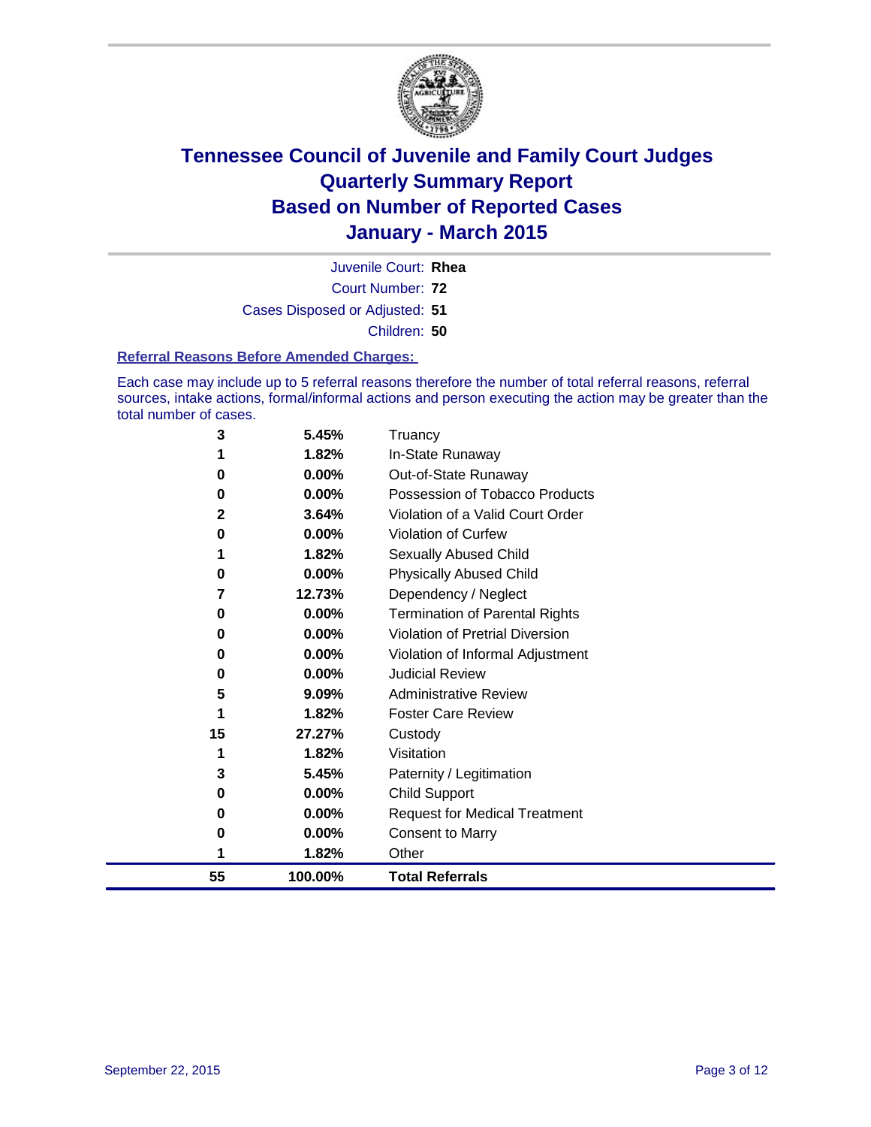

Court Number: **72** Juvenile Court: **Rhea** Cases Disposed or Adjusted: **51** Children: **50**

#### **Referral Reasons Before Amended Charges:**

Each case may include up to 5 referral reasons therefore the number of total referral reasons, referral sources, intake actions, formal/informal actions and person executing the action may be greater than the total number of cases.

| 3  | 5.45%    | Truancy                               |
|----|----------|---------------------------------------|
| 1  | 1.82%    | In-State Runaway                      |
| 0  | 0.00%    | Out-of-State Runaway                  |
| 0  | $0.00\%$ | Possession of Tobacco Products        |
| 2  | 3.64%    | Violation of a Valid Court Order      |
| 0  | 0.00%    | <b>Violation of Curfew</b>            |
| 1  | 1.82%    | Sexually Abused Child                 |
| 0  | 0.00%    | <b>Physically Abused Child</b>        |
| 7  | 12.73%   | Dependency / Neglect                  |
| 0  | 0.00%    | <b>Termination of Parental Rights</b> |
| 0  | 0.00%    | Violation of Pretrial Diversion       |
| 0  | 0.00%    | Violation of Informal Adjustment      |
| 0  | 0.00%    | <b>Judicial Review</b>                |
| 5  | 9.09%    | <b>Administrative Review</b>          |
| 1  | 1.82%    | <b>Foster Care Review</b>             |
| 15 | 27.27%   | Custody                               |
| 1  | 1.82%    | Visitation                            |
| 3  | 5.45%    | Paternity / Legitimation              |
| 0  | 0.00%    | <b>Child Support</b>                  |
| 0  | 0.00%    | <b>Request for Medical Treatment</b>  |
| 0  | 0.00%    | <b>Consent to Marry</b>               |
| 1  | 1.82%    | Other                                 |
| 55 | 100.00%  | <b>Total Referrals</b>                |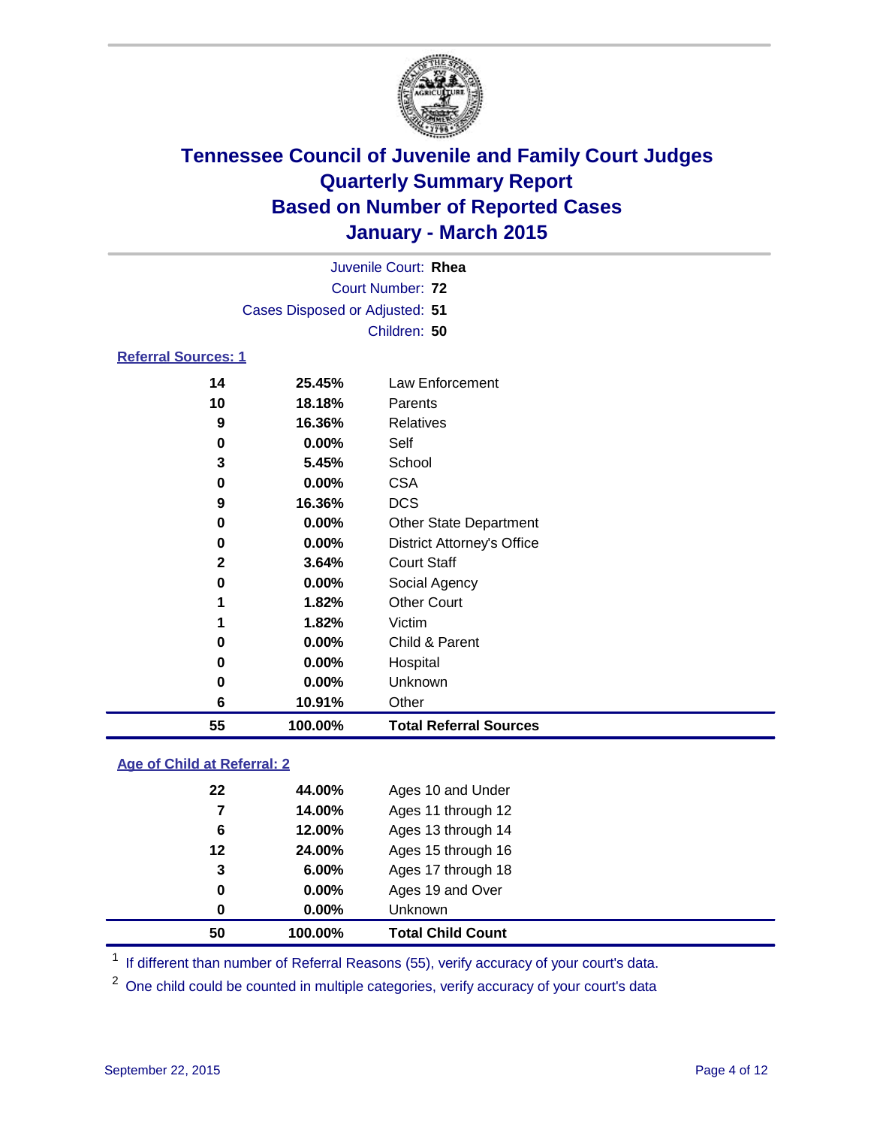

| Juvenile Court: Rhea           |                                                                                                                                                                                                                                       |
|--------------------------------|---------------------------------------------------------------------------------------------------------------------------------------------------------------------------------------------------------------------------------------|
| Court Number: 72               |                                                                                                                                                                                                                                       |
| Cases Disposed or Adjusted: 51 |                                                                                                                                                                                                                                       |
| Children: 50                   |                                                                                                                                                                                                                                       |
| <b>Referral Sources: 1</b>     |                                                                                                                                                                                                                                       |
| 85 1581 - P                    | $\blacksquare$ . The set of the set of the set of the set of the set of the set of the set of the set of the set of the set of the set of the set of the set of the set of the set of the set of the set of the set of the set of the |

### **25.45%** Law Enforcement **18.18%** Parents **16.36%** Relatives **0.00%** Self **5.45%** School **0.00%** CSA **16.36%** DCS **0.00%** Other State Department **0.00%** District Attorney's Office **3.64%** Court Staff **0.00%** Social Agency **1.82%** Other Court **1.82%** Victim **0.00%** Child & Parent **0.00%** Hospital **0.00%** Unknown **10.91%** Other **100.00% Total Referral Sources**

### **Age of Child at Referral: 2**

| 50 | 100.00%  | <b>Total Child Count</b> |
|----|----------|--------------------------|
| 0  | $0.00\%$ | <b>Unknown</b>           |
| 0  | $0.00\%$ | Ages 19 and Over         |
| 3  | 6.00%    | Ages 17 through 18       |
| 12 | 24.00%   | Ages 15 through 16       |
| 6  | 12.00%   | Ages 13 through 14       |
| 7  | 14.00%   | Ages 11 through 12       |
| 22 | 44.00%   | Ages 10 and Under        |
|    |          |                          |

<sup>1</sup> If different than number of Referral Reasons (55), verify accuracy of your court's data.

<sup>2</sup> One child could be counted in multiple categories, verify accuracy of your court's data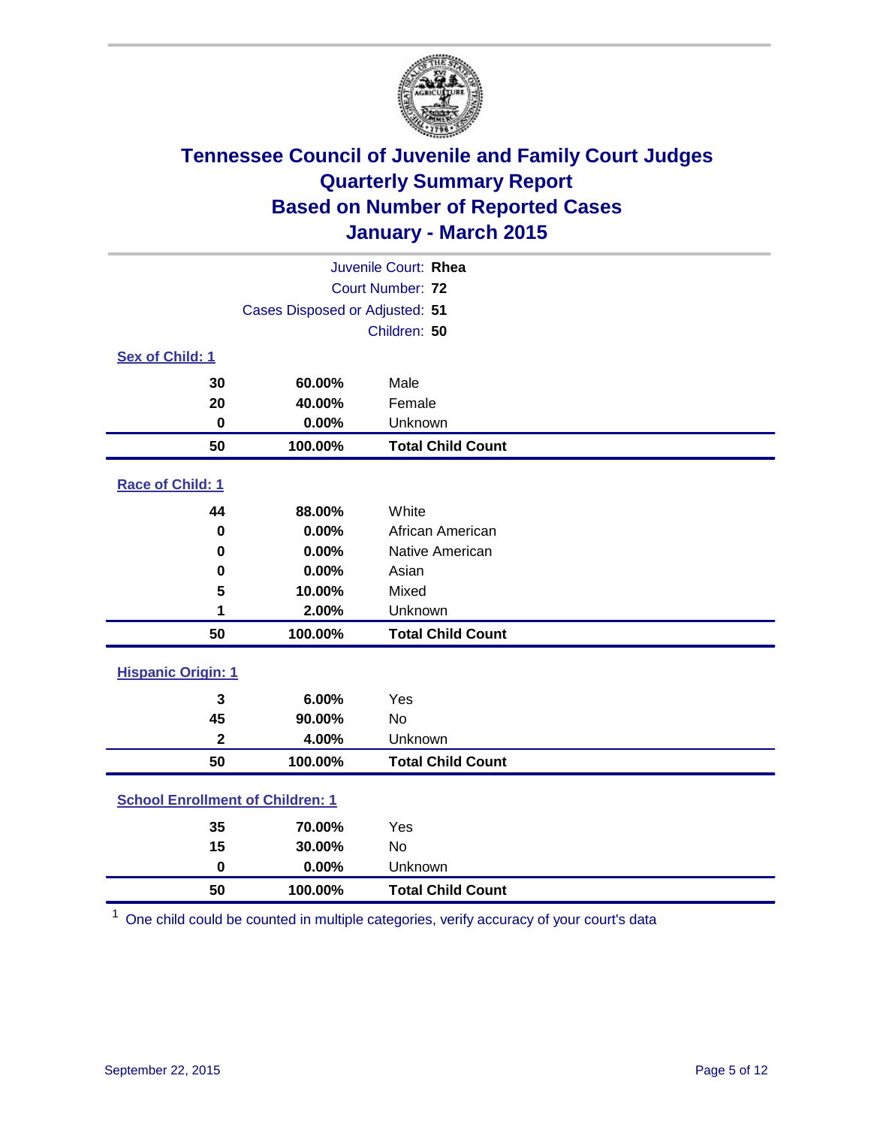

| Juvenile Court: Rhea                    |                                |                          |  |
|-----------------------------------------|--------------------------------|--------------------------|--|
|                                         | Court Number: 72               |                          |  |
|                                         | Cases Disposed or Adjusted: 51 |                          |  |
|                                         |                                | Children: 50             |  |
| Sex of Child: 1                         |                                |                          |  |
| 30                                      | 60.00%                         | Male                     |  |
| 20                                      | 40.00%                         | Female                   |  |
| $\bf{0}$                                | 0.00%                          | Unknown                  |  |
| 50                                      | 100.00%                        | <b>Total Child Count</b> |  |
| Race of Child: 1                        |                                |                          |  |
| 44                                      | 88.00%                         | White                    |  |
| $\bf{0}$                                | 0.00%                          | African American         |  |
| 0                                       | 0.00%                          | Native American          |  |
| 0                                       | 0.00%                          | Asian                    |  |
| 5                                       | 10.00%                         | Mixed                    |  |
| 1                                       | 2.00%                          | Unknown                  |  |
| 50                                      | 100.00%                        | <b>Total Child Count</b> |  |
| <b>Hispanic Origin: 1</b>               |                                |                          |  |
| $\overline{\mathbf{3}}$                 | 6.00%                          | Yes                      |  |
| 45                                      | 90.00%                         | <b>No</b>                |  |
| $\overline{\mathbf{2}}$                 | 4.00%                          | Unknown                  |  |
| 50                                      | 100.00%                        | <b>Total Child Count</b> |  |
| <b>School Enrollment of Children: 1</b> |                                |                          |  |
| 35                                      | 70.00%                         | Yes                      |  |
| 15                                      | 30.00%                         | No                       |  |
| $\bf{0}$                                | 0.00%                          | Unknown                  |  |
| 50                                      | 100.00%                        | <b>Total Child Count</b> |  |

One child could be counted in multiple categories, verify accuracy of your court's data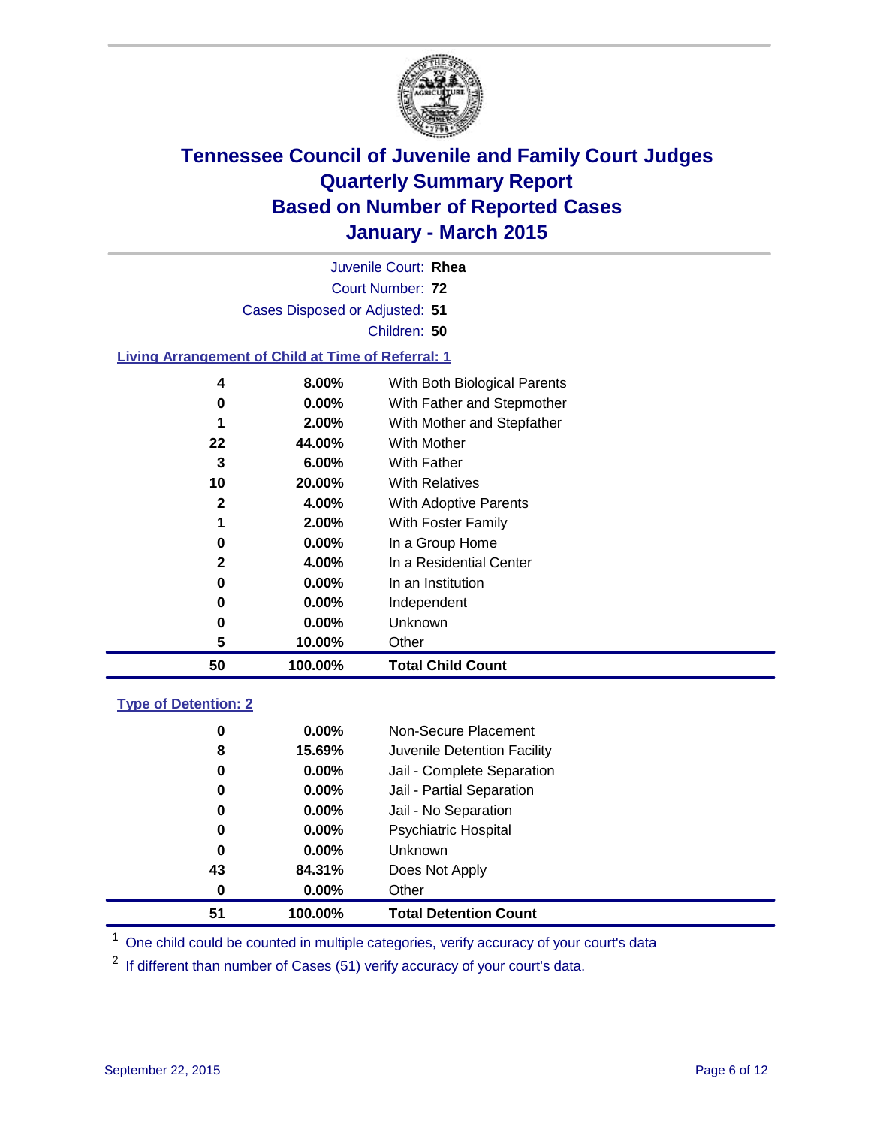

| 50                                                        | 100.00%  | <b>Total Child Count</b>     |  |
|-----------------------------------------------------------|----------|------------------------------|--|
|                                                           |          |                              |  |
| 5                                                         | 10.00%   | Other                        |  |
| 0                                                         | $0.00\%$ | Unknown                      |  |
| 0                                                         | 0.00%    | Independent                  |  |
| 0                                                         | 0.00%    | In an Institution            |  |
| $\mathbf{2}$                                              | 4.00%    | In a Residential Center      |  |
| 0                                                         | $0.00\%$ | In a Group Home              |  |
|                                                           | 2.00%    | With Foster Family           |  |
| $\mathbf{2}$                                              | 4.00%    | <b>With Adoptive Parents</b> |  |
| 10                                                        | 20.00%   | <b>With Relatives</b>        |  |
| 3                                                         | 6.00%    | <b>With Father</b>           |  |
| 22                                                        | 44.00%   | <b>With Mother</b>           |  |
| 1                                                         | 2.00%    | With Mother and Stepfather   |  |
| 0                                                         | $0.00\%$ | With Father and Stepmother   |  |
| 4                                                         | 8.00%    | With Both Biological Parents |  |
| <b>Living Arrangement of Child at Time of Referral: 1</b> |          |                              |  |
|                                                           |          |                              |  |
|                                                           |          | Children: 50                 |  |
| Cases Disposed or Adjusted: 51                            |          |                              |  |
| Court Number: 72                                          |          |                              |  |
| Juvenile Court: Rhea                                      |          |                              |  |

### **Type of Detention: 2**

| 51 | 100.00%  | <b>Total Detention Count</b> |
|----|----------|------------------------------|
| 0  | $0.00\%$ | Other                        |
| 43 | 84.31%   | Does Not Apply               |
| 0  | $0.00\%$ | <b>Unknown</b>               |
| 0  | $0.00\%$ | Psychiatric Hospital         |
| 0  | $0.00\%$ | Jail - No Separation         |
| 0  | 0.00%    | Jail - Partial Separation    |
| 0  | $0.00\%$ | Jail - Complete Separation   |
| 8  | 15.69%   | Juvenile Detention Facility  |
| 0  | $0.00\%$ | Non-Secure Placement         |

<sup>1</sup> One child could be counted in multiple categories, verify accuracy of your court's data

If different than number of Cases (51) verify accuracy of your court's data.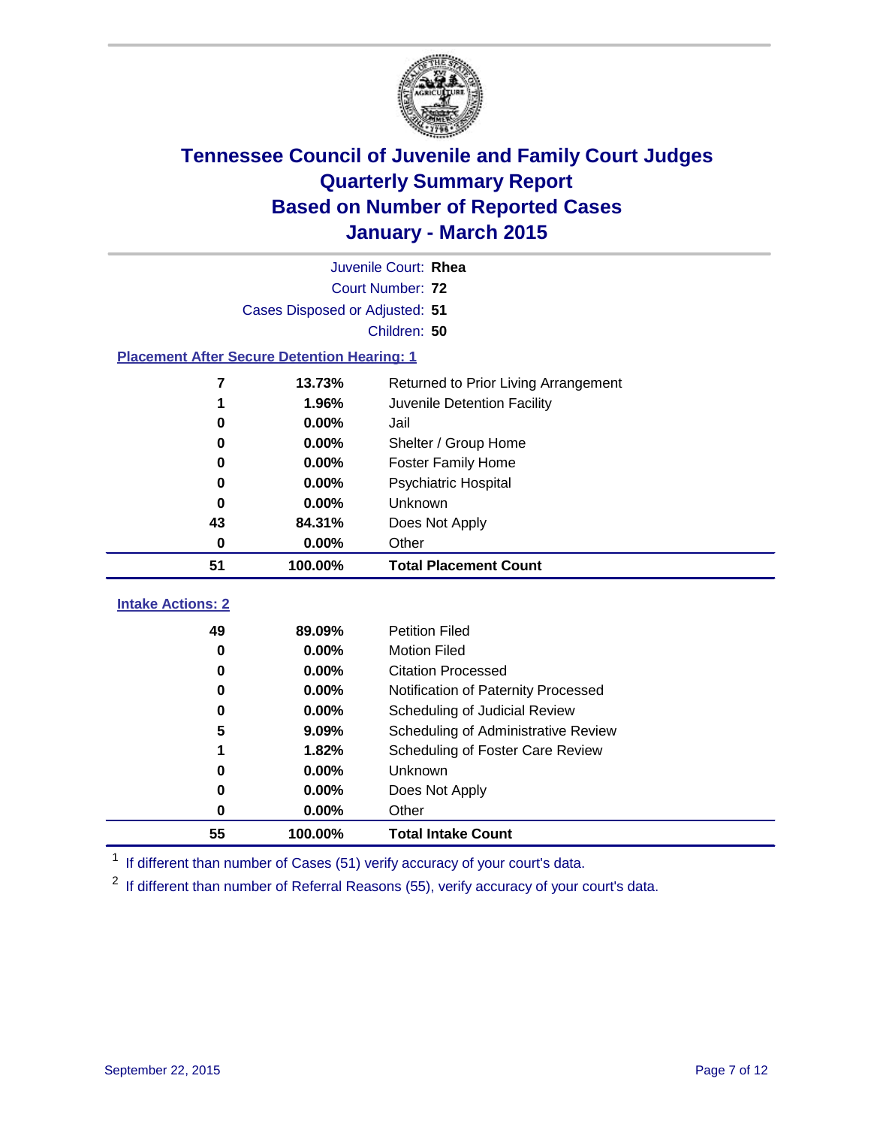

| Juvenile Court: Rhea                               |                                |                                      |  |  |  |
|----------------------------------------------------|--------------------------------|--------------------------------------|--|--|--|
|                                                    | Court Number: 72               |                                      |  |  |  |
|                                                    | Cases Disposed or Adjusted: 51 |                                      |  |  |  |
|                                                    |                                | Children: 50                         |  |  |  |
| <b>Placement After Secure Detention Hearing: 1</b> |                                |                                      |  |  |  |
| 7                                                  | 13.73%                         | Returned to Prior Living Arrangement |  |  |  |
| 1                                                  | 1.96%                          | Juvenile Detention Facility          |  |  |  |
| 0                                                  | 0.00%                          | Jail                                 |  |  |  |
| 0                                                  | 0.00%                          | Shelter / Group Home                 |  |  |  |
| 0.00%<br><b>Foster Family Home</b><br>0            |                                |                                      |  |  |  |
| 0.00%<br><b>Psychiatric Hospital</b><br>O          |                                |                                      |  |  |  |
| 0                                                  | 0.00%                          | <b>Unknown</b>                       |  |  |  |
| 43                                                 | 84.31%                         | Does Not Apply                       |  |  |  |
| 0                                                  | 0.00%                          | Other                                |  |  |  |
| 51                                                 | 100.00%                        | <b>Total Placement Count</b>         |  |  |  |
| <b>Intake Actions: 2</b>                           |                                |                                      |  |  |  |
| 49                                                 | 89.09%                         | <b>Petition Filed</b>                |  |  |  |
| 0                                                  | 0.00%                          | <b>Motion Filed</b>                  |  |  |  |
| 0                                                  | 0.00%                          | <b>Citation Processed</b>            |  |  |  |
| 0                                                  | 0.00%                          | Notification of Paternity Processed  |  |  |  |
| 0                                                  | 0.00%                          | Scheduling of Judicial Review        |  |  |  |
| 5                                                  | 9.09%                          | Scheduling of Administrative Review  |  |  |  |
| 1                                                  | 1.82%                          | Scheduling of Foster Care Review     |  |  |  |
| 0                                                  | 0.00%                          | Unknown                              |  |  |  |
| 0                                                  | 0.00%                          | Does Not Apply                       |  |  |  |

<sup>1</sup> If different than number of Cases (51) verify accuracy of your court's data.

**100.00% Total Intake Count**

**0.00%** Other

<sup>2</sup> If different than number of Referral Reasons (55), verify accuracy of your court's data.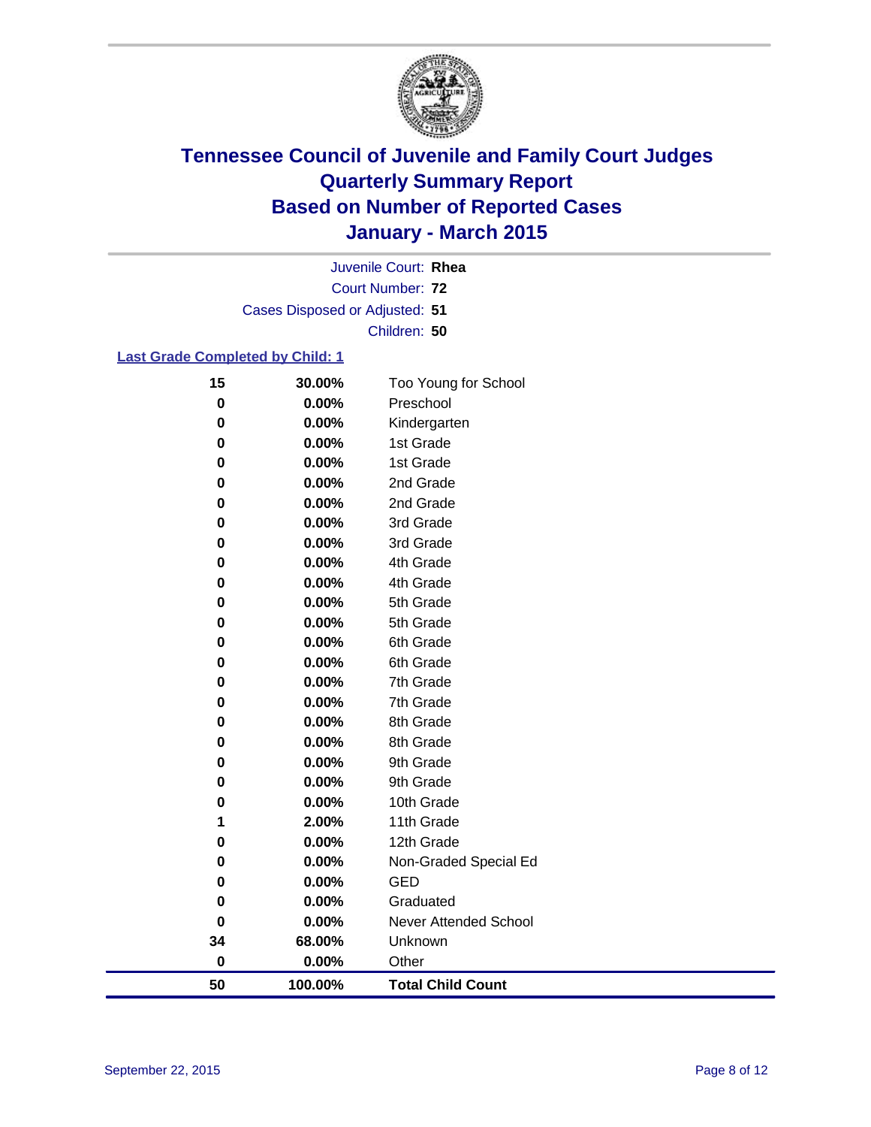

Court Number: **72** Juvenile Court: **Rhea** Cases Disposed or Adjusted: **51** Children: **50**

### **Last Grade Completed by Child: 1**

| 15        | 30.00%   | Too Young for School     |
|-----------|----------|--------------------------|
| $\bf{0}$  | $0.00\%$ | Preschool                |
| 0         | 0.00%    | Kindergarten             |
| 0         | 0.00%    | 1st Grade                |
| 0         | 0.00%    | 1st Grade                |
| 0         | 0.00%    | 2nd Grade                |
| 0         | 0.00%    | 2nd Grade                |
| 0         | 0.00%    | 3rd Grade                |
| 0         | 0.00%    | 3rd Grade                |
| 0         | 0.00%    | 4th Grade                |
| 0         | 0.00%    | 4th Grade                |
| 0         | 0.00%    | 5th Grade                |
| 0         | 0.00%    | 5th Grade                |
| 0         | 0.00%    | 6th Grade                |
| 0         | 0.00%    | 6th Grade                |
| 0         | 0.00%    | 7th Grade                |
| 0         | 0.00%    | 7th Grade                |
| 0         | 0.00%    | 8th Grade                |
| 0         | 0.00%    | 8th Grade                |
| 0         | 0.00%    | 9th Grade                |
| 0         | 0.00%    | 9th Grade                |
| 0         | 0.00%    | 10th Grade               |
| 1         | 2.00%    | 11th Grade               |
| $\pmb{0}$ | 0.00%    | 12th Grade               |
| 0         | 0.00%    | Non-Graded Special Ed    |
| 0         | 0.00%    | <b>GED</b>               |
| 0         | 0.00%    | Graduated                |
| $\bf{0}$  | 0.00%    | Never Attended School    |
| 34        | 68.00%   | Unknown                  |
| $\bf{0}$  | 0.00%    | Other                    |
| 50        | 100.00%  | <b>Total Child Count</b> |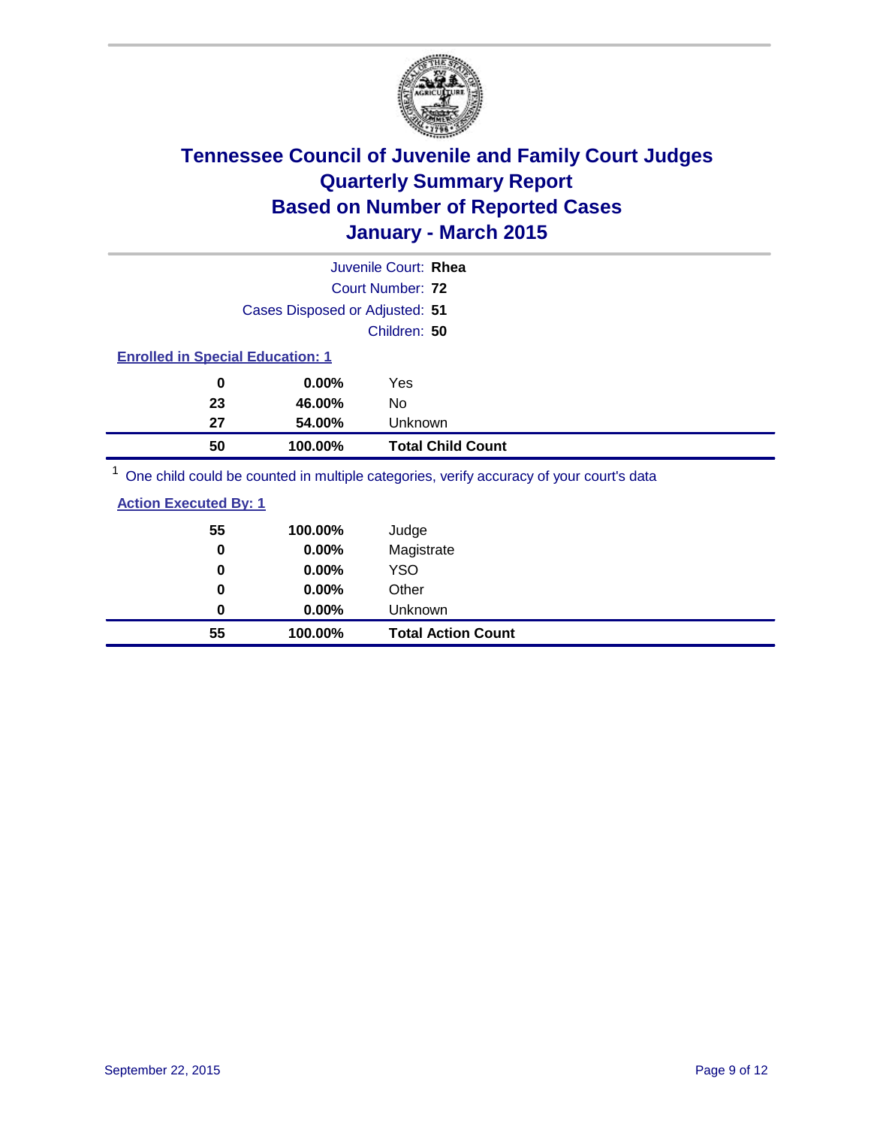

| Juvenile Court: Rhea                                                                    |                          |  |
|-----------------------------------------------------------------------------------------|--------------------------|--|
| Court Number: 72                                                                        |                          |  |
| Cases Disposed or Adjusted: 51                                                          |                          |  |
| Children: 50                                                                            |                          |  |
| <b>Enrolled in Special Education: 1</b>                                                 |                          |  |
| 0.00%<br>0<br>Yes                                                                       |                          |  |
| 23<br>46.00%<br>No                                                                      |                          |  |
| 27<br>54.00%                                                                            | Unknown                  |  |
| 100.00%<br>50                                                                           | <b>Total Child Count</b> |  |
| One child could be counted in multiple categories, verify accuracy of your court's data |                          |  |

 $\operatorname{child}$  could be counted in multiple categories, verify accuracy of your court's

| 55       | 100.00% | Judge                     |
|----------|---------|---------------------------|
| $\bf{0}$ | 0.00%   | Magistrate                |
| 0        | 0.00%   | <b>YSO</b>                |
| 0        | 0.00%   | Other                     |
| 0        | 0.00%   | <b>Unknown</b>            |
| 55       | 100.00% | <b>Total Action Count</b> |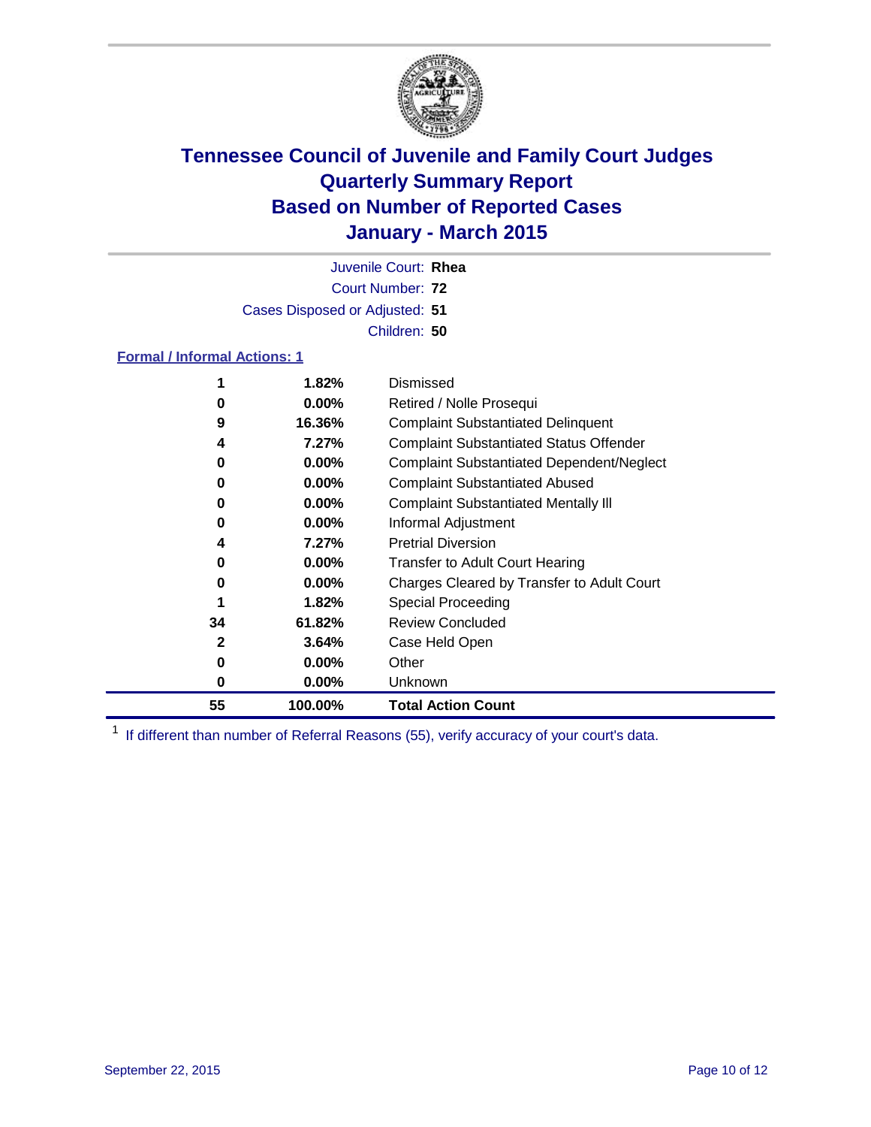

Court Number: **72** Juvenile Court: **Rhea** Cases Disposed or Adjusted: **51** Children: **50**

#### **Formal / Informal Actions: 1**

| 1  | 1.82%    | Dismissed                                        |
|----|----------|--------------------------------------------------|
| 0  | $0.00\%$ | Retired / Nolle Prosequi                         |
| 9  | 16.36%   | <b>Complaint Substantiated Delinquent</b>        |
| 4  | 7.27%    | <b>Complaint Substantiated Status Offender</b>   |
| 0  | $0.00\%$ | <b>Complaint Substantiated Dependent/Neglect</b> |
| 0  | $0.00\%$ | <b>Complaint Substantiated Abused</b>            |
| 0  | $0.00\%$ | <b>Complaint Substantiated Mentally III</b>      |
| 0  | $0.00\%$ | Informal Adjustment                              |
| 4  | 7.27%    | <b>Pretrial Diversion</b>                        |
| 0  | $0.00\%$ | <b>Transfer to Adult Court Hearing</b>           |
| 0  | $0.00\%$ | Charges Cleared by Transfer to Adult Court       |
|    | 1.82%    | Special Proceeding                               |
| 34 | 61.82%   | <b>Review Concluded</b>                          |
| 2  | 3.64%    | Case Held Open                                   |
| 0  | $0.00\%$ | Other                                            |
| 0  | $0.00\%$ | Unknown                                          |
| 55 | 100.00%  | <b>Total Action Count</b>                        |

<sup>1</sup> If different than number of Referral Reasons (55), verify accuracy of your court's data.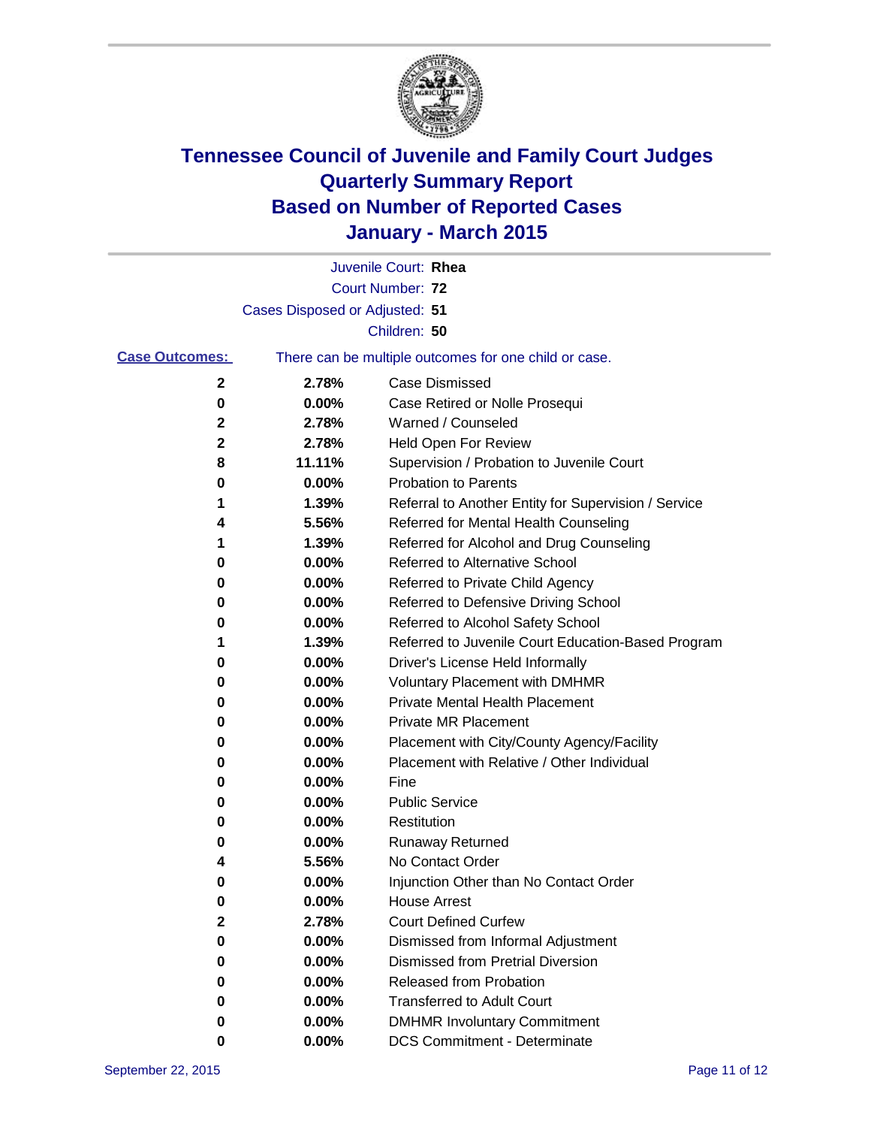

|                       |                                | Juvenile Court: Rhea                                  |
|-----------------------|--------------------------------|-------------------------------------------------------|
|                       |                                | Court Number: 72                                      |
|                       | Cases Disposed or Adjusted: 51 |                                                       |
|                       |                                | Children: 50                                          |
| <b>Case Outcomes:</b> |                                | There can be multiple outcomes for one child or case. |
| 2                     | 2.78%                          | <b>Case Dismissed</b>                                 |
| 0                     | 0.00%                          | Case Retired or Nolle Prosequi                        |
| 2                     | 2.78%                          | Warned / Counseled                                    |
| 2                     | 2.78%                          | Held Open For Review                                  |
| 8                     | 11.11%                         | Supervision / Probation to Juvenile Court             |
| 0                     | 0.00%                          | <b>Probation to Parents</b>                           |
| 1                     | 1.39%                          | Referral to Another Entity for Supervision / Service  |
| 4                     | 5.56%                          | Referred for Mental Health Counseling                 |
| 1                     | 1.39%                          | Referred for Alcohol and Drug Counseling              |
| 0                     | 0.00%                          | Referred to Alternative School                        |
| 0                     | 0.00%                          | Referred to Private Child Agency                      |
| 0                     | 0.00%                          | Referred to Defensive Driving School                  |
| 0                     | 0.00%                          | Referred to Alcohol Safety School                     |
| 1                     | 1.39%                          | Referred to Juvenile Court Education-Based Program    |
| 0                     | 0.00%                          | Driver's License Held Informally                      |
| 0                     | 0.00%                          | <b>Voluntary Placement with DMHMR</b>                 |
| 0                     | 0.00%                          | <b>Private Mental Health Placement</b>                |
| 0                     | 0.00%                          | Private MR Placement                                  |
| 0                     | 0.00%                          | Placement with City/County Agency/Facility            |
| 0                     | 0.00%                          | Placement with Relative / Other Individual            |
| 0                     | 0.00%                          | Fine                                                  |
| 0                     | 0.00%                          | <b>Public Service</b>                                 |
| 0                     | 0.00%                          | Restitution                                           |
| 0                     | 0.00%                          | <b>Runaway Returned</b>                               |
| 4                     | 5.56%                          | No Contact Order                                      |
| 0                     | 0.00%                          | Injunction Other than No Contact Order                |
| 0                     | $0.00\%$                       | House Arrest                                          |
| 2                     | 2.78%                          | <b>Court Defined Curfew</b>                           |
| 0                     | 0.00%                          | Dismissed from Informal Adjustment                    |
| 0                     | 0.00%                          | <b>Dismissed from Pretrial Diversion</b>              |
| 0                     | 0.00%                          | Released from Probation                               |
| 0                     | 0.00%                          | <b>Transferred to Adult Court</b>                     |
| 0                     | 0.00%                          | <b>DMHMR Involuntary Commitment</b>                   |
| 0                     | $0.00\%$                       | <b>DCS Commitment - Determinate</b>                   |